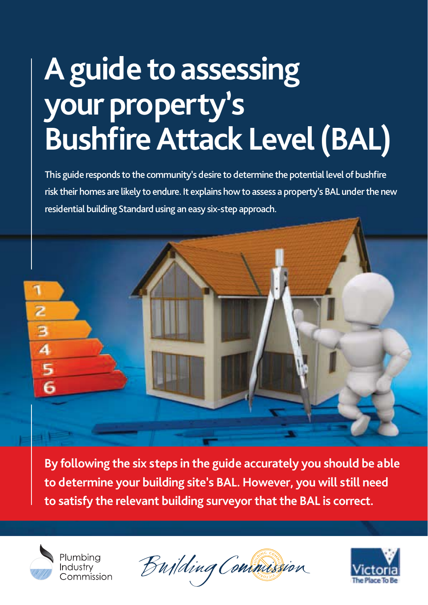### **A guide to assessing your property's Bushfire Attack Level (BAL)**

This guide responds to the community's desire to determine the potential level of bushfire risk their homes are likely to endure. It explains how to assess a property's BAL under the new residential building Standard using an easy six-step approach.



**By following the six steps in the guide accurately you should be able to determine your building site's BAL. However, you will still need to satisfy the relevant building surveyor that the BAL is correct.**



Bujlding Commission

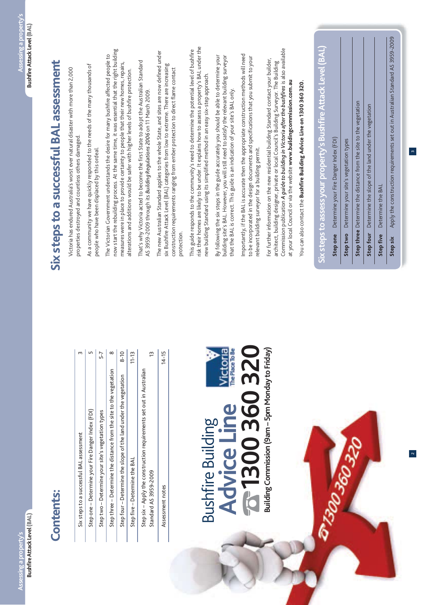#### **Contents: Contents:**

| Six steps to a successful BAL assessment                                                      | ᠬ         |
|-----------------------------------------------------------------------------------------------|-----------|
| Step one - Determine your Fire Danger Index (FDI)                                             | ᡌ         |
| Step two - Determine your site's vegetation types                                             | 5-7       |
| Step three - Determine the distance from the site to the vegetation                           | $\infty$  |
| Step four - Determine the slope of the land under the vegetation                              | $8-10$    |
| Step five - Determine the BAL                                                                 | $11 - 13$ |
| Step six - Apply the construction requirements set out in Australian<br>Standard AS 3959-2009 | 13        |
| Assessment notes                                                                              | $14 - 15$ |

#### **Victoria Advice Line<br>To 1300 360 320 1300 360 320** Building Commission (9am - 5pm Monday to Friday) **Building Commission (9am – 5pm Monday to Friday) Advice Line Bushfire Building** Bushfire Building

## Six steps to a successful BAL assessment **Six steps to a successful BAL assessment**

Victoria has endured Australia's worst ever natural disaster with more than 2,000 Victoria has endured Australia's worst ever natural disaster with more than 2,000 properties destroyed and countless others damaged. properties destroyed and countless others damaged.

As a community we have quickly responded to the needs of the many thousands of As a community we have quickly responded to the needs of the many thousands of people who have been displaced by this ordeal. people who have been displaced by this ordeal.

now start the rebuilding process. At the same time, it was essential that the right building now start the rebuilding process. At the same time, it was essential that the right building The Victorian Government understands the desire for many bushfire affected people to The Victorian Government understands the desire for many bushfire affected people to measures were in place to provide certainty to people that their new homes, repairs, measures were in place to provide certainty to people that their new homes, repairs, alterations and additions would be safer with higher levels of bushfire protection. alterations and additions would be safer with higher levels of bushfire protection.

That's why Victoria acted to become the first State to adopt the Australian Standard That's why Victoria acted to become the first State to adopt the Australian Standard AS 3959-2009 through its Building Regulations 2006 on 11 March 2009. AS 3959-2009 through its *Building Regulations 2006* on 11 March 2009.

The new Australian Standard applies to the whole State, and sites are now defined under The new Australian Standard applies to the whole State, and sites are now defined under six Bushfire Attack Level (BAL) categories from low to extreme. There are increasing six Bushfire Attack Level (BAL) categories from low to extreme. There are increasing construction requirements ranging from ember protection to direct flame contact construction requirements ranging from ember protection to direct flame contact protection.

risk their homes are likely to be under. It explains how to assess a property's BAL under the risk their homes are likely to be under. It explains how to assess a property's BAL under the This guide responds to the community's need to determine the potential level of bushfire This guide responds to the community's need to determine the potential level of bushfire new building Standard using its simplified method in an easy six-step approach. new building Standard using its simplified method in an easy six-step approach.

By following the six steps in the guide accurately you should be able to determine your building site's BAL. However, you will still need to satisfy the relevant building surveyor By following the six steps in the guide accurately you should be able to determine your building site's BAL. However, you will still need to satisfy the relevant building surveyor that the BAL is correct. This guide is an indication of your site's BAL only. that the BAL is correct. This guide is an indication of your site's BAL only.

importantly, if the BAL is accurate then the appropriate construction methods will need Importantly, if the BAL is accurate then the appropriate construction methods will need to be incorporated in the design documents and specifications that you submit to your to be incorporated in the design documents and specifications that you submit to your relevant building surveyor for a building permit. relevant building surveyor for a building permit.

Commission publication *A guide to building in Victoria after the bushfires* is also available Commission publication A guide to building in Victoria after the bushfires is also available For further information on the new residential building Standard contact your builder, For further information on the new residential building Standard contact your builder, architect, building designer, private or local Council's Building Surveyor. The Building architect, building designer, private or local Council's Building Surveyor. The Building at your local Council or via the website www.buildingcommission.com.au at your local Council or via the website **www.buildingcommission.com.au**

You can also contact the Bushfire Building Advice Line on 1300 360 320. You can also contact the **Bushfire Building Advice Line on 1300 360 320.**

## **Six steps to assess your property's Bushfire Attack Level (BAL)** Six steps to assess your property's Bushfire Attack Level (BAL)

Step one Determine your Fire Danger Index (FDI) **Step one** Determine your Fire Danger Index (FDI)

Step two Determine your site's vegetation types **Step two** Determine your site's vegetation types

EEDS

Step three Determine the distance from the site to the vegetation **Step three** Determine the distance from the site to the vegetation

Step four Determine the slope of the land under the vegetation **Step four** Determine the slope of the land under the vegetation

Step five Determine the BAL **Step five** Determine the BAL

Apply the construction requirements set out in Australian Standard AS 3959-2009 **Step six** Apply the construction requirements set out in Australian Standard AS 3959-2009Step six

 $\mathfrak{a}$ 

2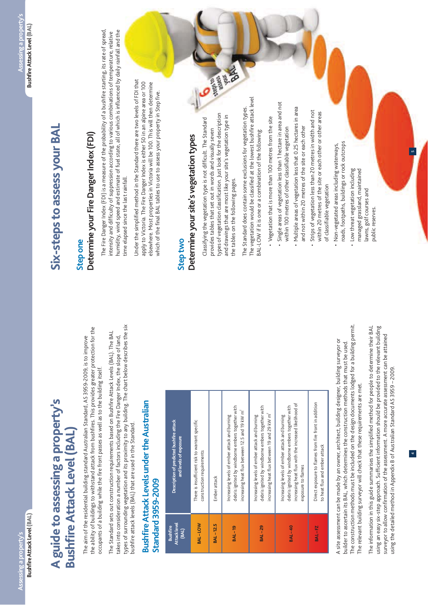### A guide to assessing a property's<br>Bushfire Attack Level (BAL) **A guide to assessing a property's Bushfire Attack Level (BAL)**

the ability of buildings to withstand attack from bushfires. This provides greater protection for the the ability of buildings to withstand attack from bushfires. This provides greater protection for the The aim of the residential building standard Australian Standard, AS 3959-2009, is to improve The aim of the residential building standard Australian Standard, AS 3959-2009, is to improve occupants of a building while the fire front passes as well as to the building itself. occupants of a building while the fire front passes as well as to the building itself.

types of surrounding vegetation and its proximity to any building. The chart below describes the six types of surrounding vegetation and its proximity to any building. The chart below describes the six The Standard sets out construction requirements based on Bushfire Attack Levels (BAL). The BAL The Standard sets out construction requirements based on Bushfire Attack Levels (BAL). The BAL takes into consideration a number of factors including the Fire Danger Index, the slope of land, takes into consideration a number of factors including the Fire Danger Index, the slope of land, bushfire attack levels (BAL) that are used in the Standard. bushfire attack levels (BAL) that are used in the Standard.

### **Bushfire Attack Levels under the Australian Bushfire Attack Levels under the Australian Standard 3959-2009 Standard 3959-2009**

| Attack level<br><b>Bushfire</b><br>(BAL) | Description of predicted bushfire attack<br>and levels of exposure                                                                                                               |
|------------------------------------------|----------------------------------------------------------------------------------------------------------------------------------------------------------------------------------|
| BAL-LOW                                  | There is insufficient risk to warrant specific<br>construction requirements                                                                                                      |
| <b>BAL-12.5</b>                          | Ember attack                                                                                                                                                                     |
| <b>BAL-19</b>                            | debris ignited by windborne embers together with<br>increasing heat flux between 12.5 and 19 kW m <sup>2</sup><br>Increasing levels of ember attack and burning                  |
| <b>BAL-29</b>                            | debris ignited by windborne embers together with<br>increasing heat flux between 19 and 29 kW m <sup>2</sup><br>Increasing levels of ember attack and burning                    |
| <b>BAL-40</b>                            | increasing heat flux with the increased likelihood of<br>debris ignited by windborne embers together with<br>Increasing levels of ember attack and burning<br>exposure to flames |
| <b>BAL-FZ</b>                            | Direct exposure to flames from fire front in addition<br>to heat flux and ember attack                                                                                           |

The construction methods must be included on the design documents lodged for a building permit. The construction methods must be included on the design documents lodged for a building permit. A site assessment can be made by an owner, architect, building designer, building surveyor or A site assessment can be made by an owner, architect, building designer, building surveyor or builder to ascertain its BAL, which determines the construction methods that must be used. builder to ascertain its BAL, which determines the construction methods that must be used. The relevant building surveyor will check that these requirements are met. The relevant building surveyor will check that these requirements are met.

The information in this guide summarises the simplified method for people to determine their BAL The information in this guide summarises the simplified method for people to determine their BAL using an easy six-step approach. Sufficient information should be provided to the relevant building using an easy six-step approach. Sufficient information should be provided to the relevant building surveyor to allow confirmation of the assessment. A more accurate assessment can be attained surveyor to allow confirmation of the assessment. A more accurate assessment can be attained using the detailed method in Appendix B of Australian Standard AS 3959 - 2009. using the detailed method in Appendix B of Australian Standard AS 3959 – 2009.

4

5

## Six-steps to assess your BAL **Six-steps to assess your BAL**

### **Step one**

### Determine your Fire Danger Index (FDI) **Determine your Fire Danger Index (FDI)**

The Fire Danger Index (FDI) is a measure of the probability of a bushfire starting, its rate of spread, The Fire Danger Index (FDI) is a measure of the probability of a bushfire starting, its rate of spread, humidity, wind speed and estimate of fuel state, all of which is influenced by daily rainfall and the humidity, wind speed and estimate of fuel state, all of which is influenced by daily rainfall and the intensity and difficulty of suppression according to various combinations of temperature, relative intensity and difficulty of suppression according to various combinations of temperature, relative time elapsed since the last rainfall. time elapsed since the last rainfall.

Under the simplified method in the Standard there are two levels of FDI that Under the simplified method in the Standard there are two levels of FDI that apply to Victoria. The Fire Danger Index is either 50 in an alpine area or 100 apply to Victoria. The Fire Danger Index is either 50 in an alpine area or 100 elsewhere. Most properties in Victoria will be 100. This will then determine elsewhere. Most properties in Victoria will be 100. This will then determine which of the final BAL tables to use to assess your property in Step five. which of the final BAL tables to use to assess your property in Step five.

### **Step two**

## **Determine your site's vegetation types**  Determine your site's vegetation types

types of vegetation classification. Just look for the description types of vegetation classification. Just look for the description and drawings that are most like your site's vegetation type in and drawings that are most like your site's vegetation type in Classifying the vegetation type is not difficult. The Standard Classifying the vegetation type is not difficult. The Standard provides tables that set out in words and visually seven provides tables that set out in words and visually seven the tables on the following pages. the tables on the following pages.

**CONSTRUCTION** 

The vegetation would be classified at the lowest bushfire attack level The vegetation would be classified at the lowest bushfire attack level The Standard does contain some exclusions for vegetation types. The Standard does contain some exclusions for vegetation types. BAL-LOW if it is one or a combination of the following: BAL-LOW if it is one or a combination of the following:

- Vegetation that is more than 100 metres from the site ~ Vegetation that is more than 100 metres from the site
- ~ Single areas of vegetation less than 1 hectare in area and not · Single areas of vegetation less than 1 hectare in area and not within 100 metres of other classifiable vegetation within 100 metres of other classifiable vegetation
- · Multiple areas of vegetation less that 0.25 hectares in area ~ Multiple areas of vegetation less that 0.25 hectares in area and not within 20 metres of the site or each other and not within 20 metres of the site or each other
- ~ Strips of vegetation less than 20 metres in width and not · Strips of vegetation less than 20 metres in width and not within 20 metres of the site or each other or other areas within 20 metres of the site or each other or other areas of classifiable vegetation of classifiable vegetation
- roads, footpaths, buildings or rock outcrops · Non-vegetated areas including waterways, ~ Non-vegetated areas including waterways, roads, footpaths, buildings or rock outcrops
- ~ Low threat vegetation including managed grassland, maintained managed grassland, maintained · Low threat vegetation including lawns, golf courses and lawns, golf courses and

public reserves.

public reserves.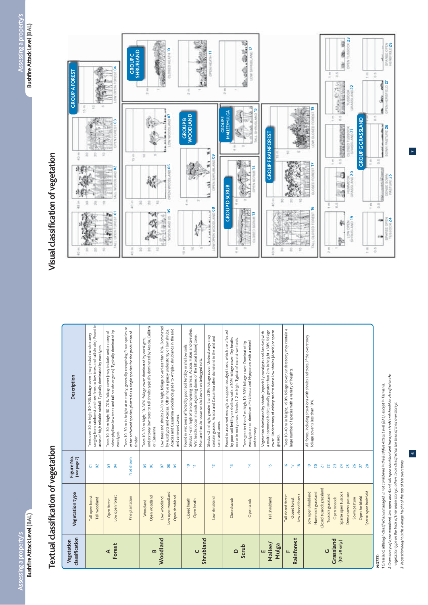### Textual classification of vegetation **Textual classification of vegetation**

| classification<br>Vegetation   | Vegetation type                                                     | Figure No.<br>(see page 7)                      | Description                                                                                                                                                                                                                                                                          |
|--------------------------------|---------------------------------------------------------------------|-------------------------------------------------|--------------------------------------------------------------------------------------------------------------------------------------------------------------------------------------------------------------------------------------------------------------------------------------|
|                                | Tall open forest<br>Tall woodland                                   | $\approx$<br>2                                  | ranging from rainforest and tree ferns to low trees and tall shrubs). Found in<br>Trees over 30 m high; 30-70% foliage cover (may include understorey<br>areas of high reliable rainfall. Typically dominated by eucalypts                                                           |
| Forest<br>⋖                    | Low open forest<br>Open forest                                      | $\mathfrak{F}$<br><b>S</b>                      | sclerophyllous low trees and tall scrubs or grass). Typically dominated by<br>Trees 10-30 m high; 30-70% foliage cover (may include understorey of<br>eucalypts.                                                                                                                     |
|                                | Pine plantation                                                     | Not shown                                       | Trees 10-30 m in height at maturity, generally comprising Pinus species or<br>other softwood species, planted as a single species for the production of<br>timber.                                                                                                                   |
| $\mathbf{a}$                   | Open woodland<br>Woodland                                           | 50<br>ိ                                         | understorey low trees to tall shrubs typically dominated by Acacia, Callitris<br>Trees 10-30 m high; 10-30% foliage cover dominated by eucalypts;<br>or Casuarina.                                                                                                                   |
| Woodland                       | Low open woodland<br>Open shrubland<br>Low woodland                 | 20<br>8 <sup>o</sup><br>8                       | Low trees and shrubs 2-10 m high; foliage cover less than 10%. Dominated<br>Acacias and Casuarina woodlands grade to Atriplex shrublands in the and<br>by eucalypts and Acacias. Often have a grassy understorey or low shrubs.<br>and semi-arid zones.                              |
|                                | Closed heath<br>Open heath                                          | <u>°</u><br>Ε                                   | Shrubs 1-2 m high often comprising Banksia, Acacia, Hakea and Grevillea.<br>Wet heaths occur in sands adjoining dunes of the littoral (shore) zone.<br>Found in wet areas affected by poor soil fertility or shallow soils.<br>Montane heaths occur on shallow or waterlogged soils. |
| Shrubland                      | Low shrubland                                                       | $\overline{1}$                                  | Shrubs <2 m high; greater than 30% foliage cover. Understoreys may<br>contain grasses. Acacia and Casuarina often dominant in the arid and<br>semi-arid zones.                                                                                                                       |
| $\Omega$                       | Closed scrub                                                        | ₽                                               | Found in areas wet enough to support eucalypt trees, which are affected<br>by poor soil fertility or shallow soils. >30% foliage cover. Dry heaths<br>occur in rocky areas. Shrubs 1–2 m high. Typical of coastal wetlands.                                                          |
| Scrub                          | Open scrub                                                          | 4                                               | eucalypts or co-dominant Melaleuca and Myoporum with a mixed<br>Trees greater than 2 m high, 10-30% foliage cover. Dominated by<br>understorey.                                                                                                                                      |
| Mallee/<br>Mulga<br>ш          | Tall shrubland                                                      | 5                                               | cover. Understorey of widespread to dense low shrubs (Acacia) or sparse<br>a multi-stemmed habit; usually greater than 2 m in height $<$ 30% foliage<br>Vegetation dominated by shrubs (especially eucalypts and Acacias) with<br>grasses.                                           |
| Rainforest                     | Low closed forest<br>Tall closed forest<br>Closed forest            | ٩<br>Þ<br>≌                                     | Trees 10-40 m in height; >90% foliage cover; understorey may contain a<br>large number of species with a variety of heights.                                                                                                                                                         |
|                                | Closed tussock grassland<br>Low open shrubland<br>Hummock grassland | $\overline{20}$<br>$\overline{\mathbf{z}}$<br>ഉ | All forms, including situations with shrubs and trees, if the overstorey<br>foliage cover is less than 10%.                                                                                                                                                                          |
| Grassland<br>(FDI50 only)<br>O | Sparse open tussock<br>Tussock grassland<br>Open tussock            | $\overline{2}$<br>23<br>$\overline{24}$         |                                                                                                                                                                                                                                                                                      |
|                                | Dense sown pasture<br>Sown pasture                                  | 25<br>26                                        |                                                                                                                                                                                                                                                                                      |
|                                | Sparse open herbfield<br>Open herbfield                             | 28<br>27                                        |                                                                                                                                                                                                                                                                                      |

#### *NOTES:*

2 Overstoreys of open woodland, low open woodland, tall open shrubland and low open shrubland should be classified to the *2 Overstoreys of open woodland, low open woodland, tall open shrubland and low open shrubland should be classified to the*  1 Grassland, although classified as unmanaged, is not considered in the Bushfire Attack Level (BAL), except in Tasmania. *1 Grassland, although classified as unmanaged, is not considered in the Bushfire Attack Level (BAL), except in Tasmania.* vegetation type on the basis of their unders toreys; others to be classified on the basis of their overstoreys. *vegetation type on the basis of their understoreys; others to be classified on the basis of their overstoreys.* 3 Vegetation height is the average height of the top of the overstorey. *3 Vegetation height is the average height of the top of the overstorey.*

### Visual classification of vegetation **Visual classification of vegetation**



6

 $\overline{ }$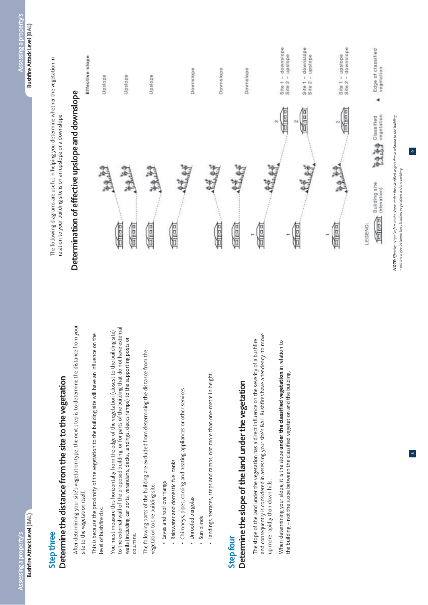### **Step three**

## Determine the distance from the site to the vegetation **Determine the distance from the site to the vegetation**

After determining your site's vegetation type, the next step is to determine the distance from your After determining your site's vegetation type, the next step is to determine the distance from your site to the vegetation itself. site to the vegetation itself.

This is because the proximity of the vegetation to the building site will have an influence on the This is because the proximity of the vegetation to the building site will have an influence on the level of bushfire risk. level of bushfire risk.

to the external wall of the proposed building, or for parts of the building that do not have external to the external wall of the proposed building, or for parts of the building that do not have external You must measure this horizontally from the edge of the vegetation (closest to the building site) You must measure this horizontally from the edge of the vegetation (closest to the building site) walls (including car ports, verandahs, decks, landings, decks ramps) to the supporting posts or walls (including car ports, verandahs, decks, landings, decks ramps) to the supporting posts or columns. columns.

The following parts of the building are excluded from determining the distance from the The following parts of the building are excluded from determining the distance from the vegetation to the building site: vegetation to the building site:

- · Eaves and roof overhangs ~ Eaves and roof overhangs
- · Rainwater and domestic fuel tanks ~ Rainwater and domestic fuel tanks
- · Chimneys, pipes, cooling and heating appliances or other services ~ Chimneys, pipes, cooling and heating appliances or other services
- · Unroofed pergolas ~ Unroofed pergolas
- Sun blinds ~ Sun blinds
- · Landings, terraces, steps and ramps, not more than one-metre in height. ~ Landings, terraces, steps and ramps, not more than one-metre in height.

### **Step four**

## Determine the slope of the land under the vegetation **Determine the slope of the land under the vegetation**

and consequently is considered in assessing your site's BAL. Bushfires have a tendency to move and consequently is considered in assessing your site's BAL. Bushfires have a tendency to move The slope of the land under the vegetation has a direct influence on the severity of a bushfire The slope of the land under the vegetation has a direct influence on the severity of a bushfire up more rapidly than down hills. up more rapidly than down hills.

When determining your slope, it is the slope under the classified vegetation in relation to When determining your slope, it is the slope **under the classified vegetation** in relation to the building - not the slope between the classified vegetation and the building. the building – not the slope between the classified vegetation and the building.

The following diagrams are useful in helping you determine whether the vegetation in The following diagrams are useful in helping you determine whether the vegetation in relation to your building site is on an upslope or a downslope. relation to your building site is on an upslope or a downslope.

## Determination of effective upslope and downslope **Determination of effective upslope and downslope**

### Effective slope



NOTE: Effective 'slope' refers to the slope under the classified vegetation in relation to the building *NOTE: Effective 'slope' refers to the slope under the classified vegetation in relation to the building* -not the slope between the classified vegetation and the building. *– not the slope between the classified vegetation and the building.*

9

 $\infty$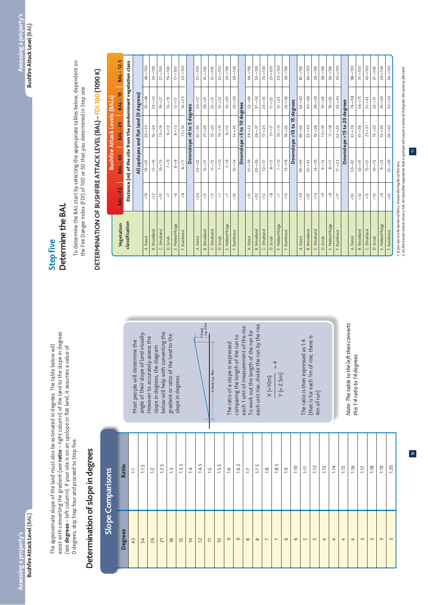assist with converting the gradient (see ratio - right column) of the land to the slope in degrees assist with converting the gradient (see **ratio** – right column) of the land to the slope in degrees The approximate slope of the land must also be estimated in degrees. The table below will The approximate slope of the land must also be estimated in degrees. The table below will (see degrees - left column). If your site is on an upslope or flat land, it assumes a value of (see **degrees** – left column). If your site is on an upslope or flat land, it assumes a value of O degrees, skip Step four and proceed to Step five. 0 degrees, skip Step four and proceed to Step five.

### Determination of slope in degrees **Determination of slope in degrees**

below will help with converting the angle of their slope of land visually. below will help with converting the angle of their slope of land visually. gradient or ratio of the land to the gradient or ratio of the land to the However to accurately assess the However to accurately assess the Most people will determine the Most people will determine the slope in degrees, the diagram slope in degrees, the diagram slope in degrees. slope in degrees.



each unit rise, divide the run by the rise. each 1 unit of measurement of the rise. each unit rise, divide the run by the rise. each 1 unit of measurement of the rise. To work out the length of the run for To work out the length of the run for comparing the length of the run to comparing the length of the run to The ratio of a slope is expressed The ratio of a slope is expressed  $X(=10m)$ 

 $X$  (=10m)  $Y (= 2.5m)$ 

 $- = 4$ 

 $Y (= 2.5m)$ 

(that is for each 1m of rise, there is (that is for each 1m of rise, there is The ratio is then expressed as 1:4 The ratio is then expressed as 1:4 4m of run) Note: The table to the left then converts *Note: The table to the left then converts*  this 1:4 ratio to 14 degrees. *this 1:4 ratio to 14 degrees.*

#### Determine the BAL **Determine the BAL Step five**

To determine the BAL start by selecting the appropriate tables below, dependent on<br>the Fire Danger Index (FDI) of 100 or 50 that you determined in Step one. To determine the BAL start by selecting the appropriate tables below, dependent on the Fire Danger Index (FDI) of 100 or 50 that you determined in Step one.

## DETERMINATION OF BUSHFIRE ATTACK LEVEL (BAL) - FDI 100 (1090 K)  **DETERMINATION OF BUSHFIRE ATTACK LEVEL (BAL) – FDI 100 (1090 K)**

|                                                                   |                      |                                                                | <b>Bushfire Attack Levels (BALs)</b>   |               |                 |
|-------------------------------------------------------------------|----------------------|----------------------------------------------------------------|----------------------------------------|---------------|-----------------|
| Vegetation                                                        | <b>BAL-FZ</b>        | <b>BAL-40</b>                                                  | <b>BAL-29</b>                          | <b>BAL-19</b> | <b>BAL-12.5</b> |
| classification                                                    |                      | Distance (m) of the site from the predominant vegetation class |                                        |               |                 |
|                                                                   |                      |                                                                | All upslopes and flat land (0 degrees) |               |                 |
| A. Forest                                                         | $\frac{1}{2}$        | $19 - 25$                                                      | $25 - 35$                              | $35 - 48$     | $48 - 100$      |
| <b>B.</b> Woodland                                                | $\frac{2}{3}$        | $12 - 16$                                                      | $16 - 24$                              | $24 - 33$     | $33 - 100$      |
| Shrubland<br>Ü                                                    | $\frac{1}{\sqrt{2}}$ | $10 - 13$                                                      | $13 - 19$                              | $19 - 27$     | $27 - 100$      |
| Scrub<br>$\overline{\mathbf{C}}$                                  | 7                    | $7 - 9$                                                        | $9 - 13$                               | $13 - 19$     | $19 - 100$      |
| E. Mallee/Mulga                                                   | °                    | $6 - 8$                                                        | $8 - 12$                               | $12 - 17$     | $17 - 100$      |
| Rainforest<br>τĽ,                                                 | $\frac{8}{\sqrt{2}}$ | $8 - 11$                                                       | $11 - 16$                              | $16 - 23$     | $23 - 100$      |
|                                                                   |                      | Downslope                                                      | $>0$ to 5                              | degrees       |                 |
| A. Forest                                                         | 24                   | $24 - 32$                                                      | $32 - 43$                              | $43 - 57$     | $57 - 100$      |
| <b>B. Woodland</b>                                                | $\frac{1}{2}$        | $15 - < 21$                                                    | $21 - 29$                              | $29 - 41$     | $41 - 100$      |
| Shrubland<br>ن                                                    | $\frac{1}{\sqrt{2}}$ | $11 - 5$                                                       | $15 - 22$                              | $22 - 31$     | $31 - 100$      |
| Scrub<br>$\overline{\mathbf{C}}$                                  | 7                    | $7 - 10$                                                       | $10 - 15$                              | $15 - 22$     | $22 - 100$      |
| E. Mallee/Mulga                                                   | 7                    | $7 - 9$                                                        | $9 - 13$                               | $13 - 20$     | $20 - 100$      |
| F. Rainforest                                                     | $\frac{1}{\sqrt{2}}$ | $10 - 14$                                                      | $14 - 20$                              | $20 - 29$     | $29 - 100$      |
|                                                                   |                      | Downslope                                                      | $5t$ o 10                              | degrees       |                 |
| A. Forest                                                         | $\overline{31}$      | $31 - 39$                                                      | $39 - 53$                              | $53 - 69$     | $69 - 100$      |
| <b>B.</b> Woodland                                                | 50 <sup>2</sup>      | $20 - 26$                                                      | $26 - 37$                              | $37 - 50$     | $50 - 100$      |
| Shrubland<br>Ü                                                    | $\frac{2}{3}$        | $12 - 17$                                                      | $17 - 24$                              | $24 - 35$     | $35 - 100$      |
| D. Scrub                                                          | $\frac{8}{\sqrt{2}}$ | $8 - 11$                                                       | $11 - 17$                              | $17 - 25$     | $25 - 100$      |
| E. Mallee/Mulga                                                   | $\sqrt{2}$           | $7 - 10$                                                       | $10 - 15$                              | $15 - < 23$   | $23 - 100$      |
| F. Rainforest                                                     | $\frac{13}{5}$       | $13 - 18$                                                      | $18 - 26$                              | $26 - 36$     | $36 - 100$      |
|                                                                   |                      |                                                                | $\frac{15}{2}$<br>Downslope >10 to     | degrees       |                 |
| A. Forest                                                         | $58 - 39$            | $39 - 49$                                                      | $49 - 64$                              | $64 - 82$     | $82 - 100$      |
| <b>B. Woodland</b>                                                | 5 <sub>2</sub>       | $25 - 33$                                                      | $33 - 45$                              | $45 - 60$     | $60 - 100$      |
| Shrubland<br>Ü                                                    | $\frac{4}{5}$        | $14 - 19$                                                      | $19 - 28$                              | $28 - 39$     | $39 - 100$      |
| D. Scrub                                                          | စ္                   | $9 - 13$                                                       | $13 - 19$                              | $19 - 28$     | $28 - 100$      |
| E. Mallee/Mulga                                                   | $\frac{8}{\sqrt{2}}$ | $8 - 11$                                                       | $11 - 18$                              | $18 - 26$     | $26 - 100$      |
| F. Rainforest                                                     | 15                   | $17 - 23$                                                      | $23 - 33$                              | $33 - 45$     | $45 - 100$      |
|                                                                   |                      | <b>Downslope</b>                                               | $\overline{20}$<br>$>15$ to            | degrees       |                 |
| A. Forest                                                         | 50 <sup>2</sup>      | $50 - 61$                                                      | $61 - 58$                              | $78 - 98$     | $98 - 100$      |
| <b>B. Woodland</b>                                                | 32                   | $32 - 41$                                                      | $41 - 56$                              | $56 - 73$     | $73 - 100$      |
| Shrubland<br>U                                                    | $\frac{15}{2}$       | $15 - < 21$                                                    | $21 - 31$                              | $31 - 43$     | $43 - 100$      |
| D. Scrub                                                          | $\frac{1}{\sqrt{2}}$ | $10 - 15$                                                      | $15 - 22$                              | $22 - 31$     | $31 - 100$      |
| E. Mallee/Mulga                                                   | ଼                    | $9 - 13$                                                       | $13 - 20$                              | $20 - 29$     | $29 - 100$      |
| F. Rainforest                                                     | $<22$                | $22 - 29$                                                      | $29 - 42$                              | $42 - 56$     | $56 - 100$      |
| 1. If you are on the border of BALs, choose the higher of the two |                      |                                                                |                                        |               |                 |

1. lf you are on the border of BALs, choose the higher of the two.<br>2. As fire travels slower down a hill, all classified vegetation that is upslope will assum a value of 0 degrees the same as flat land. *2. As fire travels slower down a hill, all classified vegetation that is upslope will assum a value of 0 degrees the same as flat land.*

 $\equiv$ 

10 11

 $\overline{a}$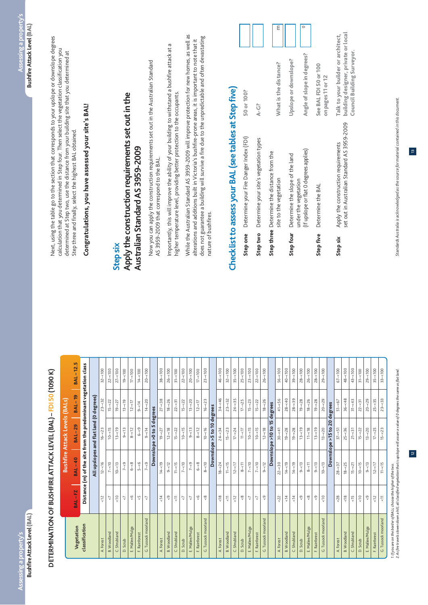## DETERMINATION OF BUSHFIRE ATTACK LEVEL (BAL) - FDI 50 (1090 K)  **DETERMINATION OF BUSHFIRE ATTACK LEVEL (BAL) – FDI 50 (1090 K)**

| Distance (m) of the site from the predominant vegetation class<br>Downslope >5 to 10 degrees<br>All upslopes and flat land (0<br>5L<br>20<br><b>BAL-29</b><br>Downslope > 0 to 5<br>Downslope >10 to<br>$>15$ to $\overline{ }$<br>$10 - 16$<br>$17 - 24$<br>$12 - 18$<br>$30 - 41$<br>$13 - 20$<br>$13 - 19$<br>$6 - 9$<br>$9 - 14$<br>$8 - 12$<br>$24 - 34$<br>$10 - 15$<br>$19 - 28$<br>$19 - 28$<br>$13 - 19$<br>$11 - 18$<br>$25 - 36$<br>$13 - 20$<br>$10 - 15$<br>$9 - 13$<br>$8 - 12$<br>$12 - 18$<br>$15 - < 22$<br>$10 - 15$<br>$9 - 13$<br>$15 - < 23$<br>$10 - 15$<br>$13 - 19$<br>$37 - 51$<br>$21 - 31$<br>$17 - 25$<br>$16 - 23$<br>$19 - 27$<br>$11 - 17$<br>$15 - 22$<br>Downslope<br><b>BAL-40</b><br>$5 - 6$<br>$8 - 10$<br>$12 - 16$<br>$10 - 13$<br>$6 - 8$<br>$7 - 9$<br>$14 - 19$<br>$11 - 5$<br>$\frac{8}{3}$<br>$7 - 10$<br>$9 - 12$<br>$14 - 19$<br>$10 - 13$<br>$12 - 17$<br>$7 - 10$<br>$7 - 9$<br>$9 - 12$<br>$7 - 10$<br>$7 - 9$<br>$18 - 24$<br>$11 - 5$<br>$7 - 10$<br>$22 - 30$<br>$14 - 19$<br>$9 - 13$<br>$18 - 25$<br>$9 - 13$<br>$12 - 17$<br>$8 - 11$<br>$8 - 11$<br>$9 - 13$<br>$28 - 37$<br>$10 - 15$<br>$15 - 21$<br>φ<br><b>BAL-FZ</b><br>$\frac{1}{\sqrt{2}}$<br>ςP<br>9<br>$\frac{4}{14}$<br>$\frac{8}{\sqrt{2}}$<br>$\frac{8}{18}$<br>$\frac{15}{2}$<br>$\frac{2}{3}$<br>$\frac{2}{\sqrt{2}}$<br>$\overline{\overline{u}}$<br>$\frac{6}{5}$<br>$\frac{8}{5}$<br>$\frac{1}{\sqrt{2}}$<br>$<12$<br>$\frac{8}{3}$<br><22<br>$\frac{1}{4}$<br>$\frac{4}{5}$<br>$\sqrt{9}$<br>$\frac{8}{3}$<br>$\frac{1}{\sqrt{2}}$<br>& 28<br>$\frac{1}{\sqrt{2}}$<br>စ္ပ<br>7<br>7<br>7<br>଼<br>7<br>7<br>7<br>ୃ<br>ୃ<br>7<br>Tussock moorland<br>G. Tussock moorland<br>G. Tussock moorland<br>Tussock moorland<br>classification<br>Vegetation<br>E. Mallee/Mulga<br>E. Mallee/Mulga<br>E. Mallee/Mulga<br>E. Mallee/Mulga<br>E. Mallee/Mulga<br><b>B.</b> Woodland<br><b>B. Woodland</b><br><b>B.</b> Woodland<br><b>B.</b> Woodland<br><b>B.</b> Woodland<br>C. Shrubland<br>C. Shrubland<br>C. Shrubland<br>C. Shrubland<br>F. Rainforest<br>C. Shrubland<br>F. Rainforest<br>F. Rainforest<br>F. Rainforest<br>F. Rainforest<br>A. Forest<br>A. Forest<br>A. Forest<br>A. Forest<br>A. Forest<br>D. Scrub<br>D. Scrub<br>D. Scrub<br>D. Scrub<br>D. Scrub<br>Ú<br>$\circ$ |                     |                      |          | <b>Bushfire Attack Levels (BALs)</b> |               |                 |
|-----------------------------------------------------------------------------------------------------------------------------------------------------------------------------------------------------------------------------------------------------------------------------------------------------------------------------------------------------------------------------------------------------------------------------------------------------------------------------------------------------------------------------------------------------------------------------------------------------------------------------------------------------------------------------------------------------------------------------------------------------------------------------------------------------------------------------------------------------------------------------------------------------------------------------------------------------------------------------------------------------------------------------------------------------------------------------------------------------------------------------------------------------------------------------------------------------------------------------------------------------------------------------------------------------------------------------------------------------------------------------------------------------------------------------------------------------------------------------------------------------------------------------------------------------------------------------------------------------------------------------------------------------------------------------------------------------------------------------------------------------------------------------------------------------------------------------------------------------------------------------------------------------------------------------------------------------------------------------------------------------------------------------------------------------------------------------------------------------------------------------------------------------------------------------------------------------------------------------------------------------------------------------------------------------------|---------------------|----------------------|----------|--------------------------------------|---------------|-----------------|
|                                                                                                                                                                                                                                                                                                                                                                                                                                                                                                                                                                                                                                                                                                                                                                                                                                                                                                                                                                                                                                                                                                                                                                                                                                                                                                                                                                                                                                                                                                                                                                                                                                                                                                                                                                                                                                                                                                                                                                                                                                                                                                                                                                                                                                                                                                           |                     |                      |          |                                      | <b>BAL-19</b> | <b>BAL-12.5</b> |
|                                                                                                                                                                                                                                                                                                                                                                                                                                                                                                                                                                                                                                                                                                                                                                                                                                                                                                                                                                                                                                                                                                                                                                                                                                                                                                                                                                                                                                                                                                                                                                                                                                                                                                                                                                                                                                                                                                                                                                                                                                                                                                                                                                                                                                                                                                           |                     |                      |          |                                      |               |                 |
|                                                                                                                                                                                                                                                                                                                                                                                                                                                                                                                                                                                                                                                                                                                                                                                                                                                                                                                                                                                                                                                                                                                                                                                                                                                                                                                                                                                                                                                                                                                                                                                                                                                                                                                                                                                                                                                                                                                                                                                                                                                                                                                                                                                                                                                                                                           |                     |                      |          |                                      | degrees)      |                 |
|                                                                                                                                                                                                                                                                                                                                                                                                                                                                                                                                                                                                                                                                                                                                                                                                                                                                                                                                                                                                                                                                                                                                                                                                                                                                                                                                                                                                                                                                                                                                                                                                                                                                                                                                                                                                                                                                                                                                                                                                                                                                                                                                                                                                                                                                                                           |                     |                      |          |                                      | $-32$<br>23-  | $32 - 100$      |
|                                                                                                                                                                                                                                                                                                                                                                                                                                                                                                                                                                                                                                                                                                                                                                                                                                                                                                                                                                                                                                                                                                                                                                                                                                                                                                                                                                                                                                                                                                                                                                                                                                                                                                                                                                                                                                                                                                                                                                                                                                                                                                                                                                                                                                                                                                           |                     |                      |          |                                      | $15 - 22$     | $22 - 100$      |
|                                                                                                                                                                                                                                                                                                                                                                                                                                                                                                                                                                                                                                                                                                                                                                                                                                                                                                                                                                                                                                                                                                                                                                                                                                                                                                                                                                                                                                                                                                                                                                                                                                                                                                                                                                                                                                                                                                                                                                                                                                                                                                                                                                                                                                                                                                           |                     |                      |          |                                      | $19 - 27$     | $27 - 100$      |
|                                                                                                                                                                                                                                                                                                                                                                                                                                                                                                                                                                                                                                                                                                                                                                                                                                                                                                                                                                                                                                                                                                                                                                                                                                                                                                                                                                                                                                                                                                                                                                                                                                                                                                                                                                                                                                                                                                                                                                                                                                                                                                                                                                                                                                                                                                           |                     |                      |          |                                      | $13 - 19$     | $19 - 100$      |
|                                                                                                                                                                                                                                                                                                                                                                                                                                                                                                                                                                                                                                                                                                                                                                                                                                                                                                                                                                                                                                                                                                                                                                                                                                                                                                                                                                                                                                                                                                                                                                                                                                                                                                                                                                                                                                                                                                                                                                                                                                                                                                                                                                                                                                                                                                           |                     |                      |          |                                      | $12 - 17$     | $17 - 100$      |
|                                                                                                                                                                                                                                                                                                                                                                                                                                                                                                                                                                                                                                                                                                                                                                                                                                                                                                                                                                                                                                                                                                                                                                                                                                                                                                                                                                                                                                                                                                                                                                                                                                                                                                                                                                                                                                                                                                                                                                                                                                                                                                                                                                                                                                                                                                           |                     |                      |          |                                      | $9 - 514$     | $14 - 100$      |
|                                                                                                                                                                                                                                                                                                                                                                                                                                                                                                                                                                                                                                                                                                                                                                                                                                                                                                                                                                                                                                                                                                                                                                                                                                                                                                                                                                                                                                                                                                                                                                                                                                                                                                                                                                                                                                                                                                                                                                                                                                                                                                                                                                                                                                                                                                           |                     |                      |          |                                      | $14 - 20$     | $20 - 100$      |
|                                                                                                                                                                                                                                                                                                                                                                                                                                                                                                                                                                                                                                                                                                                                                                                                                                                                                                                                                                                                                                                                                                                                                                                                                                                                                                                                                                                                                                                                                                                                                                                                                                                                                                                                                                                                                                                                                                                                                                                                                                                                                                                                                                                                                                                                                                           |                     |                      |          |                                      | degrees       |                 |
|                                                                                                                                                                                                                                                                                                                                                                                                                                                                                                                                                                                                                                                                                                                                                                                                                                                                                                                                                                                                                                                                                                                                                                                                                                                                                                                                                                                                                                                                                                                                                                                                                                                                                                                                                                                                                                                                                                                                                                                                                                                                                                                                                                                                                                                                                                           |                     |                      |          |                                      | $27 - 38$     | $38 - 100$      |
|                                                                                                                                                                                                                                                                                                                                                                                                                                                                                                                                                                                                                                                                                                                                                                                                                                                                                                                                                                                                                                                                                                                                                                                                                                                                                                                                                                                                                                                                                                                                                                                                                                                                                                                                                                                                                                                                                                                                                                                                                                                                                                                                                                                                                                                                                                           |                     |                      |          |                                      | $18 - 26$     | $26 - 100$      |
|                                                                                                                                                                                                                                                                                                                                                                                                                                                                                                                                                                                                                                                                                                                                                                                                                                                                                                                                                                                                                                                                                                                                                                                                                                                                                                                                                                                                                                                                                                                                                                                                                                                                                                                                                                                                                                                                                                                                                                                                                                                                                                                                                                                                                                                                                                           |                     |                      |          |                                      | $22 - 31$     | $31 - 100$      |
|                                                                                                                                                                                                                                                                                                                                                                                                                                                                                                                                                                                                                                                                                                                                                                                                                                                                                                                                                                                                                                                                                                                                                                                                                                                                                                                                                                                                                                                                                                                                                                                                                                                                                                                                                                                                                                                                                                                                                                                                                                                                                                                                                                                                                                                                                                           |                     |                      |          |                                      | $15 - 22$     | $22 - 100$      |
|                                                                                                                                                                                                                                                                                                                                                                                                                                                                                                                                                                                                                                                                                                                                                                                                                                                                                                                                                                                                                                                                                                                                                                                                                                                                                                                                                                                                                                                                                                                                                                                                                                                                                                                                                                                                                                                                                                                                                                                                                                                                                                                                                                                                                                                                                                           |                     |                      |          |                                      | $13 - 20$     | $20 - 100$      |
|                                                                                                                                                                                                                                                                                                                                                                                                                                                                                                                                                                                                                                                                                                                                                                                                                                                                                                                                                                                                                                                                                                                                                                                                                                                                                                                                                                                                                                                                                                                                                                                                                                                                                                                                                                                                                                                                                                                                                                                                                                                                                                                                                                                                                                                                                                           |                     |                      |          |                                      | $12 - 17$     | $17 - 100$      |
|                                                                                                                                                                                                                                                                                                                                                                                                                                                                                                                                                                                                                                                                                                                                                                                                                                                                                                                                                                                                                                                                                                                                                                                                                                                                                                                                                                                                                                                                                                                                                                                                                                                                                                                                                                                                                                                                                                                                                                                                                                                                                                                                                                                                                                                                                                           |                     |                      |          |                                      | $16 - 23$     | $23 - 100$      |
|                                                                                                                                                                                                                                                                                                                                                                                                                                                                                                                                                                                                                                                                                                                                                                                                                                                                                                                                                                                                                                                                                                                                                                                                                                                                                                                                                                                                                                                                                                                                                                                                                                                                                                                                                                                                                                                                                                                                                                                                                                                                                                                                                                                                                                                                                                           |                     |                      |          |                                      |               |                 |
|                                                                                                                                                                                                                                                                                                                                                                                                                                                                                                                                                                                                                                                                                                                                                                                                                                                                                                                                                                                                                                                                                                                                                                                                                                                                                                                                                                                                                                                                                                                                                                                                                                                                                                                                                                                                                                                                                                                                                                                                                                                                                                                                                                                                                                                                                                           |                     |                      |          |                                      | $34 - 46$     | $46 - 100$      |
|                                                                                                                                                                                                                                                                                                                                                                                                                                                                                                                                                                                                                                                                                                                                                                                                                                                                                                                                                                                                                                                                                                                                                                                                                                                                                                                                                                                                                                                                                                                                                                                                                                                                                                                                                                                                                                                                                                                                                                                                                                                                                                                                                                                                                                                                                                           |                     |                      |          |                                      | $23 - 32$     | $32 - 100$      |
|                                                                                                                                                                                                                                                                                                                                                                                                                                                                                                                                                                                                                                                                                                                                                                                                                                                                                                                                                                                                                                                                                                                                                                                                                                                                                                                                                                                                                                                                                                                                                                                                                                                                                                                                                                                                                                                                                                                                                                                                                                                                                                                                                                                                                                                                                                           |                     |                      |          |                                      | $24 - 35$     | $35 - 100$      |
|                                                                                                                                                                                                                                                                                                                                                                                                                                                                                                                                                                                                                                                                                                                                                                                                                                                                                                                                                                                                                                                                                                                                                                                                                                                                                                                                                                                                                                                                                                                                                                                                                                                                                                                                                                                                                                                                                                                                                                                                                                                                                                                                                                                                                                                                                                           |                     |                      |          |                                      | $17 - 25$     | $25 - 100$      |
|                                                                                                                                                                                                                                                                                                                                                                                                                                                                                                                                                                                                                                                                                                                                                                                                                                                                                                                                                                                                                                                                                                                                                                                                                                                                                                                                                                                                                                                                                                                                                                                                                                                                                                                                                                                                                                                                                                                                                                                                                                                                                                                                                                                                                                                                                                           |                     |                      |          |                                      | $15 - 23$     | $23 - 100$      |
|                                                                                                                                                                                                                                                                                                                                                                                                                                                                                                                                                                                                                                                                                                                                                                                                                                                                                                                                                                                                                                                                                                                                                                                                                                                                                                                                                                                                                                                                                                                                                                                                                                                                                                                                                                                                                                                                                                                                                                                                                                                                                                                                                                                                                                                                                                           |                     |                      |          |                                      | $15 - 22$     | $22 - 100$      |
|                                                                                                                                                                                                                                                                                                                                                                                                                                                                                                                                                                                                                                                                                                                                                                                                                                                                                                                                                                                                                                                                                                                                                                                                                                                                                                                                                                                                                                                                                                                                                                                                                                                                                                                                                                                                                                                                                                                                                                                                                                                                                                                                                                                                                                                                                                           |                     |                      |          |                                      | $18 - 26$     | $26 - 100$      |
|                                                                                                                                                                                                                                                                                                                                                                                                                                                                                                                                                                                                                                                                                                                                                                                                                                                                                                                                                                                                                                                                                                                                                                                                                                                                                                                                                                                                                                                                                                                                                                                                                                                                                                                                                                                                                                                                                                                                                                                                                                                                                                                                                                                                                                                                                                           |                     |                      |          |                                      | degrees       |                 |
|                                                                                                                                                                                                                                                                                                                                                                                                                                                                                                                                                                                                                                                                                                                                                                                                                                                                                                                                                                                                                                                                                                                                                                                                                                                                                                                                                                                                                                                                                                                                                                                                                                                                                                                                                                                                                                                                                                                                                                                                                                                                                                                                                                                                                                                                                                           |                     |                      |          |                                      | $41 - 56$     | $56 - 100$      |
|                                                                                                                                                                                                                                                                                                                                                                                                                                                                                                                                                                                                                                                                                                                                                                                                                                                                                                                                                                                                                                                                                                                                                                                                                                                                                                                                                                                                                                                                                                                                                                                                                                                                                                                                                                                                                                                                                                                                                                                                                                                                                                                                                                                                                                                                                                           |                     |                      |          |                                      | $28 - 40$     | $40 - 100$      |
|                                                                                                                                                                                                                                                                                                                                                                                                                                                                                                                                                                                                                                                                                                                                                                                                                                                                                                                                                                                                                                                                                                                                                                                                                                                                                                                                                                                                                                                                                                                                                                                                                                                                                                                                                                                                                                                                                                                                                                                                                                                                                                                                                                                                                                                                                                           |                     |                      |          |                                      | $28 - 39$     | $39 - 100$      |
|                                                                                                                                                                                                                                                                                                                                                                                                                                                                                                                                                                                                                                                                                                                                                                                                                                                                                                                                                                                                                                                                                                                                                                                                                                                                                                                                                                                                                                                                                                                                                                                                                                                                                                                                                                                                                                                                                                                                                                                                                                                                                                                                                                                                                                                                                                           |                     |                      |          |                                      | $19 - 28$     | $28 - 100$      |
|                                                                                                                                                                                                                                                                                                                                                                                                                                                                                                                                                                                                                                                                                                                                                                                                                                                                                                                                                                                                                                                                                                                                                                                                                                                                                                                                                                                                                                                                                                                                                                                                                                                                                                                                                                                                                                                                                                                                                                                                                                                                                                                                                                                                                                                                                                           |                     |                      |          |                                      | $18 - 26$     | $26 - 100$      |
|                                                                                                                                                                                                                                                                                                                                                                                                                                                                                                                                                                                                                                                                                                                                                                                                                                                                                                                                                                                                                                                                                                                                                                                                                                                                                                                                                                                                                                                                                                                                                                                                                                                                                                                                                                                                                                                                                                                                                                                                                                                                                                                                                                                                                                                                                                           |                     |                      |          |                                      | $19 - 28$     | $28 - 100$      |
|                                                                                                                                                                                                                                                                                                                                                                                                                                                                                                                                                                                                                                                                                                                                                                                                                                                                                                                                                                                                                                                                                                                                                                                                                                                                                                                                                                                                                                                                                                                                                                                                                                                                                                                                                                                                                                                                                                                                                                                                                                                                                                                                                                                                                                                                                                           |                     |                      |          |                                      | $20 - 29$     | $29 - 100$      |
|                                                                                                                                                                                                                                                                                                                                                                                                                                                                                                                                                                                                                                                                                                                                                                                                                                                                                                                                                                                                                                                                                                                                                                                                                                                                                                                                                                                                                                                                                                                                                                                                                                                                                                                                                                                                                                                                                                                                                                                                                                                                                                                                                                                                                                                                                                           |                     |                      |          |                                      | degrees       |                 |
|                                                                                                                                                                                                                                                                                                                                                                                                                                                                                                                                                                                                                                                                                                                                                                                                                                                                                                                                                                                                                                                                                                                                                                                                                                                                                                                                                                                                                                                                                                                                                                                                                                                                                                                                                                                                                                                                                                                                                                                                                                                                                                                                                                                                                                                                                                           |                     |                      |          |                                      | $51 - 67$     | $67 - 100$      |
|                                                                                                                                                                                                                                                                                                                                                                                                                                                                                                                                                                                                                                                                                                                                                                                                                                                                                                                                                                                                                                                                                                                                                                                                                                                                                                                                                                                                                                                                                                                                                                                                                                                                                                                                                                                                                                                                                                                                                                                                                                                                                                                                                                                                                                                                                                           |                     |                      |          |                                      | $36 - 48$     | $48 - 100$      |
|                                                                                                                                                                                                                                                                                                                                                                                                                                                                                                                                                                                                                                                                                                                                                                                                                                                                                                                                                                                                                                                                                                                                                                                                                                                                                                                                                                                                                                                                                                                                                                                                                                                                                                                                                                                                                                                                                                                                                                                                                                                                                                                                                                                                                                                                                                           |                     |                      |          |                                      | $31 - 43$     | $43 - 100$      |
|                                                                                                                                                                                                                                                                                                                                                                                                                                                                                                                                                                                                                                                                                                                                                                                                                                                                                                                                                                                                                                                                                                                                                                                                                                                                                                                                                                                                                                                                                                                                                                                                                                                                                                                                                                                                                                                                                                                                                                                                                                                                                                                                                                                                                                                                                                           |                     |                      |          |                                      | $22 - 31$     | $31 - 100$      |
|                                                                                                                                                                                                                                                                                                                                                                                                                                                                                                                                                                                                                                                                                                                                                                                                                                                                                                                                                                                                                                                                                                                                                                                                                                                                                                                                                                                                                                                                                                                                                                                                                                                                                                                                                                                                                                                                                                                                                                                                                                                                                                                                                                                                                                                                                                           |                     |                      |          |                                      | $20 - 29$     | $29 - 100$      |
|                                                                                                                                                                                                                                                                                                                                                                                                                                                                                                                                                                                                                                                                                                                                                                                                                                                                                                                                                                                                                                                                                                                                                                                                                                                                                                                                                                                                                                                                                                                                                                                                                                                                                                                                                                                                                                                                                                                                                                                                                                                                                                                                                                                                                                                                                                           |                     |                      |          |                                      | $25 - 35$     | $35 - 100$      |
|                                                                                                                                                                                                                                                                                                                                                                                                                                                                                                                                                                                                                                                                                                                                                                                                                                                                                                                                                                                                                                                                                                                                                                                                                                                                                                                                                                                                                                                                                                                                                                                                                                                                                                                                                                                                                                                                                                                                                                                                                                                                                                                                                                                                                                                                                                           | G. Tussock moorland | $\frac{1}{\sqrt{2}}$ | $11 - 5$ | $15 - < 23$                          | $23 - 33$     | $33 - 100$      |

1. If you are on the border of BALs, choose the higher of the two.<br>2. As fire travels slower down a hill, all classified vegetation that is upslope will assum a value of 0 degrees the same as flat land. *2. As fire travels slower down a hill, all classified vegetation that is upslope will assum a value of 0 degrees the same as flat land.1. If you are on the border of BALs, choose the higher of the two.*

Next, using the table go to the section that corresponds to your upslope or downslope degrees Next, using the table go to the section that corresponds to your upslope or downslope degrees calculation that you determined in Step four. Then select the vegetation classification you calculation that you determined in Step four. Then select the vegetation classification you determined at Step two, use the distance from your building site that you determined at determined at Step two, use the distance from your building site that you determined at Step three and finally, select the highest BAL obtained. Step three and finally, select the highest BAL obtained.

## Congratulations, you have assessed your site's BAL! **Congratulations, you have assessed your site's BAL!**

### **Step six**

### Apply the construction requirements set out in the **Apply the construction requirements set out in the**  Australian Standard AS 3959-2009 **Australian Standard AS 3959-2009**

Now you can apply the construction requirements set out in the Australian Standard<br>AS 3959-2009 that correspond to the BAL. Now you can apply the construction requirements set out in the Australian Standard AS 3959-2009 that correspond to the BAL.

Importantly, this will improve the ability of your building to withstand a bushfire attack at a Importantly, this will improve the ability of your building to withstand a bushfire attack at a higher temperature level, providing better protection to the occupants. higher temperature level, providing better protection to the occupants.

While the Australian Standard AS 3959-2009 will improve protection for new homes, as well as While the Australian Standard AS 3959-2009 will improve protection for new homes, as well as does not guarantee a building will survive a fire due to the unpredictable and often devastating does not guarantee a building will survive a fire due to the unpredictable and often devastating alterations and additions built in Victoria's bushfire-prone areas, it is important to note that it alterations and additions built in Victoria's bushfire-prone areas, it is important to note that it nature of bushfires. nature of bushfires.

#### **Checklist to assess your BAL (see tables at Step five)** j Í  $\frac{1}{2}$  $\frac{1}{2}$  $\ddot{\sigma}$

l,

i r

- r n r

|           | necklist to assess your BAL (see tables at Step five)                              |                                                                                                         |   |
|-----------|------------------------------------------------------------------------------------|---------------------------------------------------------------------------------------------------------|---|
| Step one  | Determine your Fire Danger Index (FDI)                                             | 50 or 100?                                                                                              |   |
| Step two  | Determine your site's vegetation types                                             | $A-G$ ?                                                                                                 |   |
|           | Step three Determine the distance from the<br>site to the vegetation               | What is the distance?                                                                                   | ε |
| Step four | Determine the slope of the land                                                    | Upslope or downslope?                                                                                   |   |
|           | (If upslope or flat 0 degrees applies)<br>under the vegetation                     | Angle of slope in degrees?                                                                              |   |
| Step five | Determine the BAL                                                                  | See BAL FDI 50 or 100<br>on pages 11 or 12                                                              |   |
| Step six  | set out in Australian Standard AS 3959-2009<br>Apply the construction requirements | building designer, private or local<br>Talk to your builder or architect,<br>Council Building Surveyor. |   |

*Standards Australia is acknowledged as the source for material contained in this document.*  Standards Australia is acknowledged as the source for material contained in this document.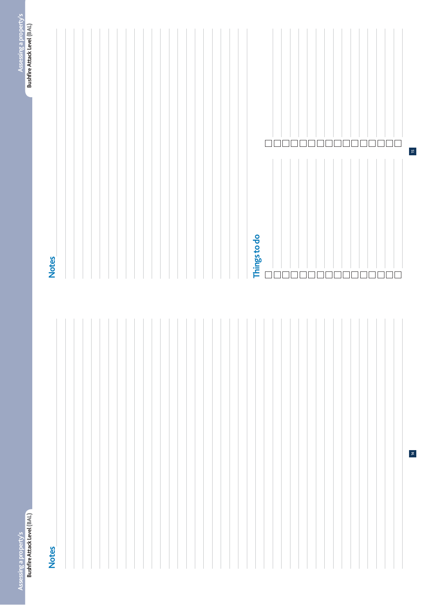#### **Notes**

14

 $\overline{\phantom{a}}$ 

 $\mathbf{B}$ 

# **Notes Notes Notes**

| Things to do   |                |
|----------------|----------------|
| $\Box\Box$     | 00000000000000 |
|                |                |
|                |                |
|                |                |
|                |                |
|                |                |
|                |                |
|                |                |
|                |                |
|                |                |
|                |                |
|                |                |
| 30000000000000 |                |
|                |                |
|                |                |
|                | $\Box \Box$    |
|                |                |